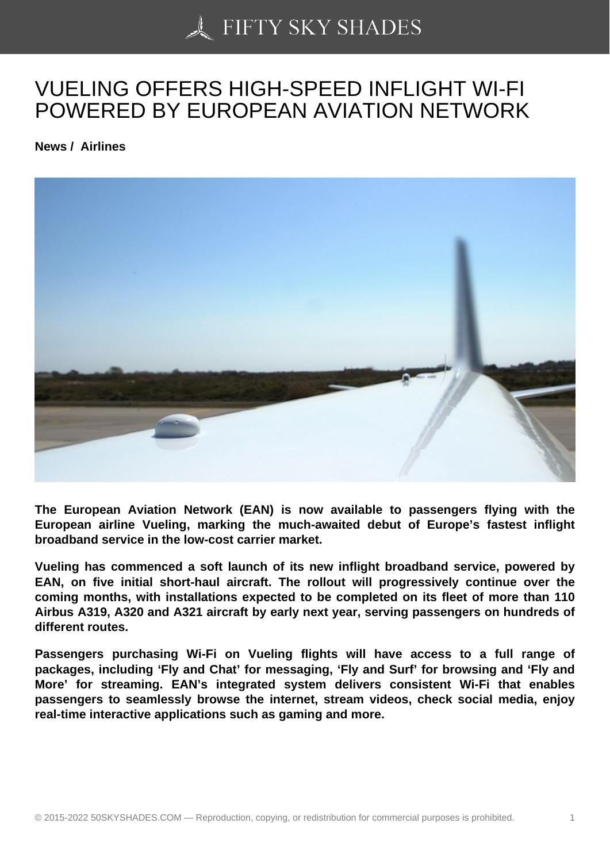## [VUELING OFFERS HI](https://50skyshades.com)GH-SPEED INFLIGHT WI-FI POWERED BY EUROPEAN AVIATION NETWORK

News / Airlines

The European Aviation Network (EAN) is now available to passengers flying with the European airline Vueling, marking the much-awaited debut of Europe's fastest inflight broadband service in the low-cost carrier market.

Vueling has commenced a soft launch of its new inflight broadband service, powered by EAN, on five initial short-haul aircraft. The rollout will progressively continue over the coming months, with installations expected to be completed on its fleet of more than 110 Airbus A319, A320 and A321 aircraft by early next year, serving passengers on hundreds of different routes.

Passengers purchasing Wi-Fi on Vueling flights will have access to a full range of packages, including 'Fly and Chat' for messaging, 'Fly and Surf' for browsing and 'Fly and More' for streaming. EAN's integrated system delivers consistent Wi-Fi that enables passengers to seamlessly browse the internet, stream videos, check social media, enjoy real-time interactive applications such as gaming and more.